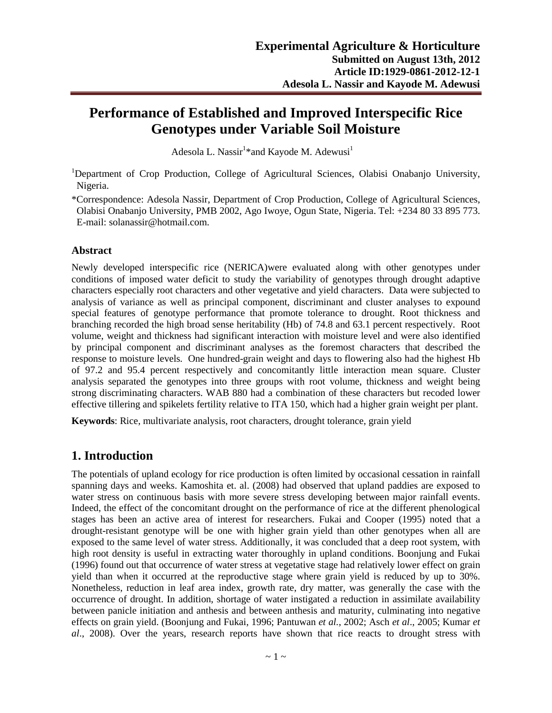# **Performance of Established and Improved Interspecific Rice Genotypes under Variable Soil Moisture**

Adesola L. Nassir $^1*$ and Kayode M. Adewusi $^1$ 

<sup>1</sup>Department of Crop Production, College of Agricultural Sciences, Olabisi Onabanjo University, Nigeria.

\*Correspondence: Adesola Nassir, Department of Crop Production, College of Agricultural Sciences, Olabisi Onabanjo University, PMB 2002, Ago Iwoye, Ogun State, Nigeria. Tel: +234 80 33 895 773. E-mail: solanassir@hotmail.com.

#### **Abstract**

Newly developed interspecific rice (NERICA)were evaluated along with other genotypes under conditions of imposed water deficit to study the variability of genotypes through drought adaptive characters especially root characters and other vegetative and yield characters. Data were subjected to analysis of variance as well as principal component, discriminant and cluster analyses to expound special features of genotype performance that promote tolerance to drought. Root thickness and branching recorded the high broad sense heritability (Hb) of 74.8 and 63.1 percent respectively. Root volume, weight and thickness had significant interaction with moisture level and were also identified by principal component and discriminant analyses as the foremost characters that described the response to moisture levels. One hundred-grain weight and days to flowering also had the highest Hb of 97.2 and 95.4 percent respectively and concomitantly little interaction mean square. Cluster analysis separated the genotypes into three groups with root volume, thickness and weight being strong discriminating characters. WAB 880 had a combination of these characters but recoded lower effective tillering and spikelets fertility relative to ITA 150, which had a higher grain weight per plant.

**Keywords**: Rice, multivariate analysis, root characters, drought tolerance, grain yield

#### **1. Introduction**

The potentials of upland ecology for rice production is often limited by occasional cessation in rainfall spanning days and weeks. Kamoshita et. al. (2008) had observed that upland paddies are exposed to water stress on continuous basis with more severe stress developing between major rainfall events. Indeed, the effect of the concomitant drought on the performance of rice at the different phenological stages has been an active area of interest for researchers. Fukai and Cooper (1995) noted that a drought-resistant genotype will be one with higher grain yield than other genotypes when all are exposed to the same level of water stress. Additionally, it was concluded that a deep root system, with high root density is useful in extracting water thoroughly in upland conditions. Boonjung and Fukai (1996) found out that occurrence of water stress at vegetative stage had relatively lower effect on grain yield than when it occurred at the reproductive stage where grain yield is reduced by up to 30%. Nonetheless, reduction in leaf area index, growth rate, dry matter, was generally the case with the occurrence of drought. In addition, shortage of water instigated a reduction in assimilate availability between panicle initiation and anthesis and between anthesis and maturity, culminating into negative effects on grain yield. (Boonjung and Fukai, 1996; Pantuwan *et al.*, 2002; Asch *et al*., 2005; Kumar *et al*., 2008). Over the years, research reports have shown that rice reacts to drought stress with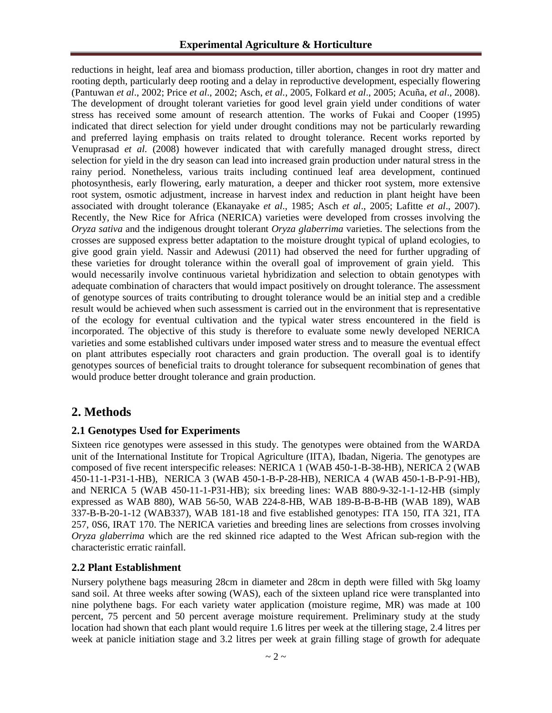reductions in height, leaf area and biomass production, tiller abortion, changes in root dry matter and rooting depth, particularly deep rooting and a delay in reproductive development, especially flowering (Pantuwan *et al*., 2002; Price *et al*., 2002; Asch, *et al.*, 2005, Folkard *et al*., 2005; Acuña, *et al*., 2008). The development of drought tolerant varieties for good level grain yield under conditions of water stress has received some amount of research attention. The works of Fukai and Cooper (1995) indicated that direct selection for yield under drought conditions may not be particularly rewarding and preferred laying emphasis on traits related to drought tolerance. Recent works reported by Venuprasad *et al.* (2008) however indicated that with carefully managed drought stress, direct selection for yield in the dry season can lead into increased grain production under natural stress in the rainy period. Nonetheless, various traits including continued leaf area development, continued photosynthesis, early flowering, early maturation, a deeper and thicker root system, more extensive root system, osmotic adjustment, increase in harvest index and reduction in plant height have been associated with drought tolerance (Ekanayake *et al*., 1985; Asch *et al*., 2005; Lafitte *et al*., 2007). Recently, the New Rice for Africa (NERICA) varieties were developed from crosses involving the *Oryza sativa* and the indigenous drought tolerant *Oryza glaberrima* varieties. The selections from the crosses are supposed express better adaptation to the moisture drought typical of upland ecologies, to give good grain yield. Nassir and Adewusi (2011) had observed the need for further upgrading of these varieties for drought tolerance within the overall goal of improvement of grain yield. This would necessarily involve continuous varietal hybridization and selection to obtain genotypes with adequate combination of characters that would impact positively on drought tolerance. The assessment of genotype sources of traits contributing to drought tolerance would be an initial step and a credible result would be achieved when such assessment is carried out in the environment that is representative of the ecology for eventual cultivation and the typical water stress encountered in the field is incorporated. The objective of this study is therefore to evaluate some newly developed NERICA varieties and some established cultivars under imposed water stress and to measure the eventual effect on plant attributes especially root characters and grain production. The overall goal is to identify genotypes sources of beneficial traits to drought tolerance for subsequent recombination of genes that would produce better drought tolerance and grain production.

### **2. Methods**

#### **2.1 Genotypes Used for Experiments**

Sixteen rice genotypes were assessed in this study. The genotypes were obtained from the WARDA unit of the International Institute for Tropical Agriculture (IITA), Ibadan, Nigeria. The genotypes are composed of five recent interspecific releases: NERICA 1 (WAB 450-1-B-38-HB), NERICA 2 (WAB 450-11-1-P31-1-HB), NERICA 3 (WAB 450-1-B-P-28-HB), NERICA 4 (WAB 450-1-B-P-91-HB), and NERICA 5 (WAB 450-11-1-P31-HB); six breeding lines: WAB 880-9-32-1-1-12-HB (simply expressed as WAB 880), WAB 56-50, WAB 224-8-HB, WAB 189-B-B-B-HB (WAB 189), WAB 337-B-B-20-1-12 (WAB337), WAB 181-18 and five established genotypes: ITA 150, ITA 321, ITA 257, 0S6, IRAT 170. The NERICA varieties and breeding lines are selections from crosses involving *Oryza glaberrima* which are the red skinned rice adapted to the West African sub-region with the characteristic erratic rainfall.

#### **2.2 Plant Establishment**

Nursery polythene bags measuring 28cm in diameter and 28cm in depth were filled with 5kg loamy sand soil. At three weeks after sowing (WAS), each of the sixteen upland rice were transplanted into nine polythene bags. For each variety water application (moisture regime, MR) was made at 100 percent, 75 percent and 50 percent average moisture requirement. Preliminary study at the study location had shown that each plant would require 1.6 litres per week at the tillering stage, 2.4 litres per week at panicle initiation stage and 3.2 litres per week at grain filling stage of growth for adequate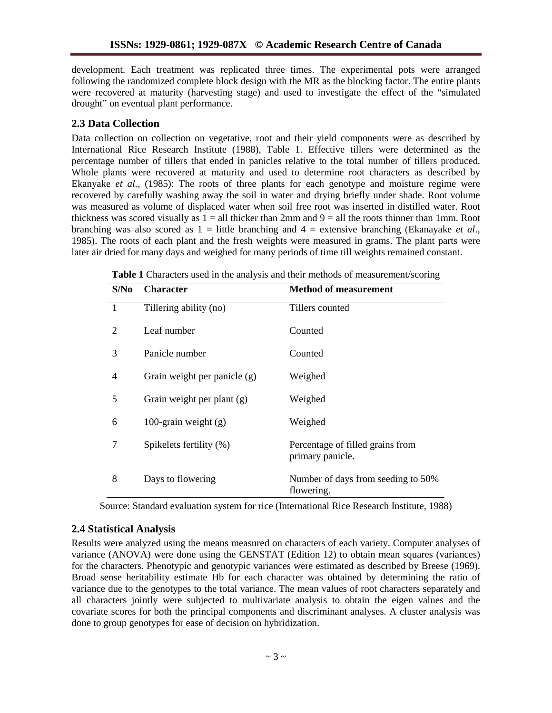development. Each treatment was replicated three times. The experimental pots were arranged following the randomized complete block design with the MR as the blocking factor. The entire plants were recovered at maturity (harvesting stage) and used to investigate the effect of the "simulated drought" on eventual plant performance.

#### **2.3 Data Collection**

Data collection on collection on vegetative, root and their yield components were as described by International Rice Research Institute (1988), Table 1. Effective tillers were determined as the percentage number of tillers that ended in panicles relative to the total number of tillers produced. Whole plants were recovered at maturity and used to determine root characters as described by Ekanyake *et al.,* (1985): The roots of three plants for each genotype and moisture regime were recovered by carefully washing away the soil in water and drying briefly under shade. Root volume was measured as volume of displaced water when soil free root was inserted in distilled water. Root thickness was scored visually as  $1 =$  all thicker than 2mm and  $9 =$  all the roots thinner than 1mm. Root branching was also scored as 1 = little branching and 4 = extensive branching (Ekanayake *et al*., 1985). The roots of each plant and the fresh weights were measured in grams. The plant parts were later air dried for many days and weighed for many periods of time till weights remained constant.

| S/N <sub>0</sub> | <b>Character</b>             | <b>Method of measurement</b>                         |
|------------------|------------------------------|------------------------------------------------------|
| $\overline{1}$   | Tillering ability (no)       | Tillers counted                                      |
| 2                | Leaf number                  | Counted                                              |
| 3                | Panicle number               | Counted                                              |
| 4                | Grain weight per panicle (g) | Weighed                                              |
| 5                | Grain weight per plant (g)   | Weighed                                              |
| 6                | 100-grain weight $(g)$       | Weighed                                              |
| 7                | Spikelets fertility (%)      | Percentage of filled grains from<br>primary panicle. |
| 8                | Days to flowering            | Number of days from seeding to 50%<br>flowering.     |

**Table 1** Characters used in the analysis and their methods of measurement/scoring

Source: Standard evaluation system for rice (International Rice Research Institute, 1988)

#### **2.4 Statistical Analysis**

Results were analyzed using the means measured on characters of each variety. Computer analyses of variance (ANOVA) were done using the GENSTAT (Edition 12) to obtain mean squares (variances) for the characters. Phenotypic and genotypic variances were estimated as described by Breese (1969). Broad sense heritability estimate Hb for each character was obtained by determining the ratio of variance due to the genotypes to the total variance. The mean values of root characters separately and all characters jointly were subjected to multivariate analysis to obtain the eigen values and the covariate scores for both the principal components and discriminant analyses. A cluster analysis was done to group genotypes for ease of decision on hybridization.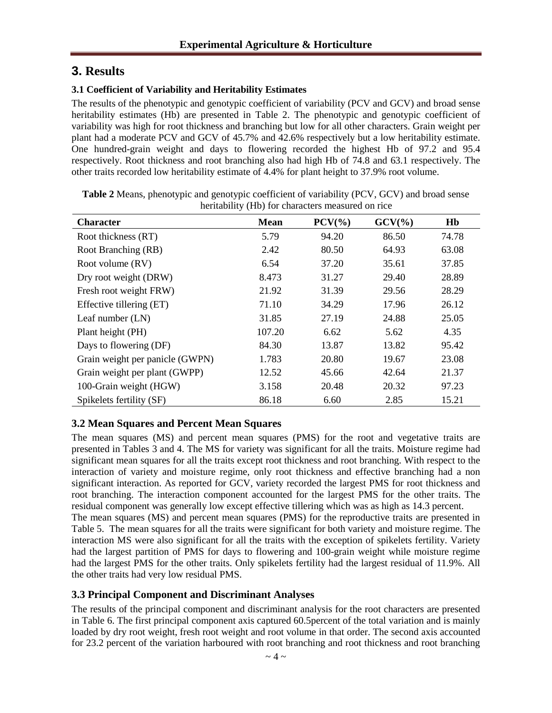## **3. Results**

#### **3.1 Coefficient of Variability and Heritability Estimates**

The results of the phenotypic and genotypic coefficient of variability (PCV and GCV) and broad sense heritability estimates (Hb) are presented in Table 2. The phenotypic and genotypic coefficient of variability was high for root thickness and branching but low for all other characters. Grain weight per plant had a moderate PCV and GCV of 45.7% and 42.6% respectively but a low heritability estimate. One hundred-grain weight and days to flowering recorded the highest Hb of 97.2 and 95.4 respectively. Root thickness and root branching also had high Hb of 74.8 and 63.1 respectively. The other traits recorded low heritability estimate of 4.4% for plant height to 37.9% root volume.

| <b>Character</b>                | <b>Mean</b> | $PCV(\%)$ | $GCV(\% )$ | Hb    |
|---------------------------------|-------------|-----------|------------|-------|
| Root thickness (RT)             | 5.79        | 94.20     | 86.50      | 74.78 |
| Root Branching (RB)             | 2.42        | 80.50     | 64.93      | 63.08 |
| Root volume (RV)                | 6.54        | 37.20     | 35.61      | 37.85 |
| Dry root weight (DRW)           | 8.473       | 31.27     | 29.40      | 28.89 |
| Fresh root weight FRW)          | 21.92       | 31.39     | 29.56      | 28.29 |
| Effective tillering (ET)        | 71.10       | 34.29     | 17.96      | 26.12 |
| Leaf number $(LN)$              | 31.85       | 27.19     | 24.88      | 25.05 |
| Plant height (PH)               | 107.20      | 6.62      | 5.62       | 4.35  |
| Days to flowering (DF)          | 84.30       | 13.87     | 13.82      | 95.42 |
| Grain weight per panicle (GWPN) | 1.783       | 20.80     | 19.67      | 23.08 |
| Grain weight per plant (GWPP)   | 12.52       | 45.66     | 42.64      | 21.37 |
| 100-Grain weight (HGW)          | 3.158       | 20.48     | 20.32      | 97.23 |
| Spikelets fertility (SF)        | 86.18       | 6.60      | 2.85       | 15.21 |

**Table 2** Means, phenotypic and genotypic coefficient of variability (PCV, GCV) and broad sense heritability (Hb) for characters measured on rice

### **3.2 Mean Squares and Percent Mean Squares**

The mean squares (MS) and percent mean squares (PMS) for the root and vegetative traits are presented in Tables 3 and 4. The MS for variety was significant for all the traits. Moisture regime had significant mean squares for all the traits except root thickness and root branching. With respect to the interaction of variety and moisture regime, only root thickness and effective branching had a non significant interaction. As reported for GCV, variety recorded the largest PMS for root thickness and root branching. The interaction component accounted for the largest PMS for the other traits. The residual component was generally low except effective tillering which was as high as 14.3 percent. The mean squares (MS) and percent mean squares (PMS) for the reproductive traits are presented in Table 5. The mean squares for all the traits were significant for both variety and moisture regime. The interaction MS were also significant for all the traits with the exception of spikelets fertility. Variety had the largest partition of PMS for days to flowering and 100-grain weight while moisture regime had the largest PMS for the other traits. Only spikelets fertility had the largest residual of 11.9%. All the other traits had very low residual PMS.

#### **3.3 Principal Component and Discriminant Analyses**

The results of the principal component and discriminant analysis for the root characters are presented in Table 6. The first principal component axis captured 60.5percent of the total variation and is mainly loaded by dry root weight, fresh root weight and root volume in that order. The second axis accounted for 23.2 percent of the variation harboured with root branching and root thickness and root branching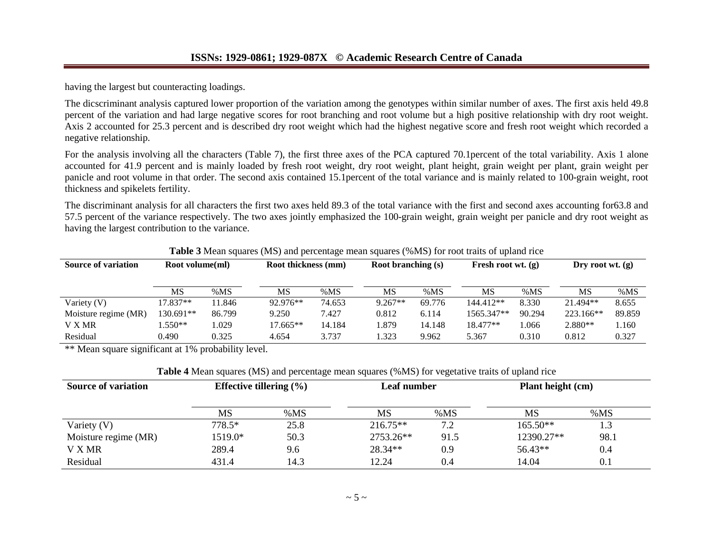having the largest but counteracting loadings.

The dicscriminant analysis captured lower proportion of the variation among the genotypes within similar number of axes. The first axis held 49.8 percent of the variation and had large negative scores for root branching and root volume but a high positive relationship with dry root weight. Axis 2 accounted for 25.3 percent and is described dry root weight which had the highest negative score and fresh root weight which recorded a negative relationship.

For the analysis involving all the characters (Table 7), the first three axes of the PCA captured 70.1percent of the total variability. Axis 1 alone accounted for 41.9 percent and is mainly loaded by fresh root weight, dry root weight, plant height, grain weight per plant, grain weight per panicle and root volume in that order. The second axis contained 15.1percent of the total variance and is mainly related to 100-grain weight, root thickness and spikelets fertility.

The discriminant analysis for all characters the first two axes held 89.3 of the total variance with the first and second axes accounting for63.8 and 57.5 percent of the variance respectively. The two axes jointly emphasized the 100-grain weight, grain weight per panicle and dry root weight as having the largest contribution to the variance.

| <b>Source of variation</b> | Root volume(ml) |        |            | Root thickness (mm) |           | <b>Root branching (s)</b> |            | Fresh root wt. $(g)$ |           | Dry root wt. $(g)$ |  |
|----------------------------|-----------------|--------|------------|---------------------|-----------|---------------------------|------------|----------------------|-----------|--------------------|--|
|                            | MS              | %MS    | MS         | % $MS$              | MS        | % $MS$                    | MS         | % $MS$               | MS        | %MS                |  |
| Variety (V)                | 17.837**        | 11.846 | 92.976**   | 74.653              | $9.267**$ | 69.776                    | 144.412**  | 8.330                | 21.494**  | 8.655              |  |
| Moisture regime (MR)       | 130.691**       | 86.799 | 9.250      | 7.427               | 0.812     | 6.114                     | 1565.347** | 90.294               | 223.166** | 89.859             |  |
| V X MR                     | $.550**$        | .029   | $17.665**$ | 14.184              | .879      | 14.148                    | $18.477**$ | 1.066                | $2.880**$ | 1.160              |  |
| Residual                   | 0.490           | 0.325  | 4.654      | 3.737               | .323      | 9.962                     | 5.367      | 0.310                | 0.812     | 0.327              |  |

**Table 3** Mean squares (MS) and percentage mean squares (%MS) for root traits of upland rice

\*\* Mean square significant at 1% probability level.

**Table 4** Mean squares (MS) and percentage mean squares (%MS) for vegetative traits of upland rice

| <b>Source of variation</b> | Effective tillering $(\% )$ |        | <b>Leaf number</b> |        | Plant height (cm) |        |  |
|----------------------------|-----------------------------|--------|--------------------|--------|-------------------|--------|--|
|                            | MS                          | % $MS$ | MS                 | % $MS$ | MS                | % $MS$ |  |
| Variety $(V)$              | 778.5*                      | 25.8   | $216.75**$         | 7.2    | $165.50**$        | 1.3    |  |
| Moisture regime (MR)       | 1519.0*                     | 50.3   | 2753.26**          | 91.5   | 12390.27**        | 98.1   |  |
| V X MR                     | 289.4                       | 9.6    | 28.34**            | 0.9    | 56.43**           | 0.4    |  |
| Residual                   | 14.3<br>431.4               |        | 12.24              | 0.4    | 14.04<br>0.1      |        |  |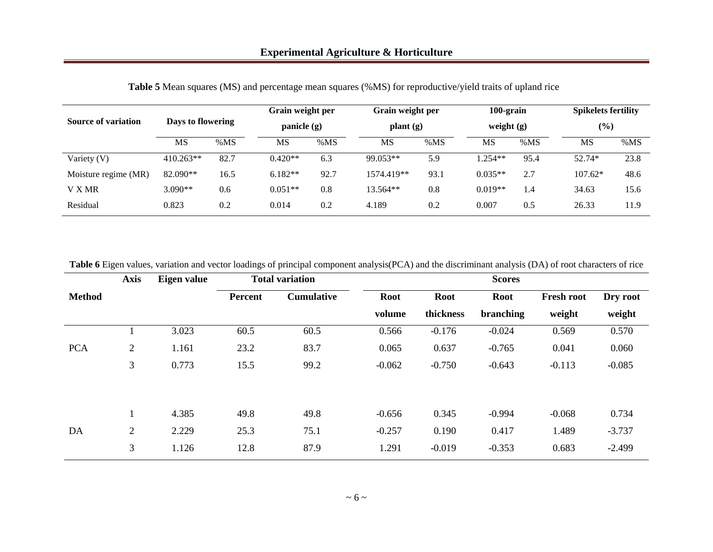| <b>Source of variation</b> | Days to flowering |      |           | Grain weight per<br>panicle $(g)$ |            | Grain weight per<br>plant(g) |           | 100-grain<br>weight $(g)$ |           | <b>Spikelets fertility</b><br>$(\%)$ |  |
|----------------------------|-------------------|------|-----------|-----------------------------------|------------|------------------------------|-----------|---------------------------|-----------|--------------------------------------|--|
|                            | MS                | %MS  | MS        | %MS                               | <b>MS</b>  | %MS                          | MS        | %MS                       | MS        | %MS                                  |  |
| Variety (V)                | $410.263**$       | 82.7 | $0.420**$ | 6.3                               | 99.053**   | 5.9                          | $1.254**$ | 95.4                      | 52.74*    | 23.8                                 |  |
| Moisture regime (MR)       | 82.090**          | 16.5 | $6.182**$ | 92.7                              | 1574.419** | 93.1                         | $0.035**$ | 2.7                       | $107.62*$ | 48.6                                 |  |
| V X MR                     | $3.090**$         | 0.6  | $0.051**$ | 0.8                               | 13.564**   | 0.8                          | $0.019**$ | 1.4                       | 34.63     | 15.6                                 |  |
| Residual                   | 0.823             | 0.2  | 0.014     | 0.2                               | 4.189      | 0.2                          | 0.007     | 0.5                       | 26.33     | 11.9                                 |  |

**Table 5** Mean squares (MS) and percentage mean squares (%MS) for reproductive/yield traits of upland rice

| <b>Table 6</b> Eigen values, variation and vector loadings of principal component analysis (PCA) and the discriminant analysis (DA) of root characters of rice |  |  |  |
|----------------------------------------------------------------------------------------------------------------------------------------------------------------|--|--|--|
|                                                                                                                                                                |  |  |  |

|               | <b>Axis</b>    | Eigen value |                | <b>Total variation</b> | <b>Scores</b> |             |             |                   |          |  |
|---------------|----------------|-------------|----------------|------------------------|---------------|-------------|-------------|-------------------|----------|--|
| <b>Method</b> |                |             | <b>Percent</b> | <b>Cumulative</b>      | <b>Root</b>   | <b>Root</b> | <b>Root</b> | <b>Fresh root</b> | Dry root |  |
|               |                |             |                |                        | volume        | thickness   | branching   | weight            | weight   |  |
|               |                | 3.023       | 60.5           | 60.5                   | 0.566         | $-0.176$    | $-0.024$    | 0.569             | 0.570    |  |
| <b>PCA</b>    | $\overline{2}$ | 1.161       | 23.2           | 83.7                   | 0.065         | 0.637       | $-0.765$    | 0.041             | 0.060    |  |
|               | 3              | 0.773       | 15.5           | 99.2                   | $-0.062$      | $-0.750$    | $-0.643$    | $-0.113$          | $-0.085$ |  |
|               |                |             |                |                        |               |             |             |                   |          |  |
|               |                | 4.385       | 49.8           | 49.8                   | $-0.656$      | 0.345       | $-0.994$    | $-0.068$          | 0.734    |  |
| DA            | 2              | 2.229       | 25.3           | 75.1                   | $-0.257$      | 0.190       | 0.417       | 1.489             | $-3.737$ |  |
|               | 3              | 1.126       | 12.8           | 87.9                   | 1.291         | $-0.019$    | $-0.353$    | 0.683             | $-2.499$ |  |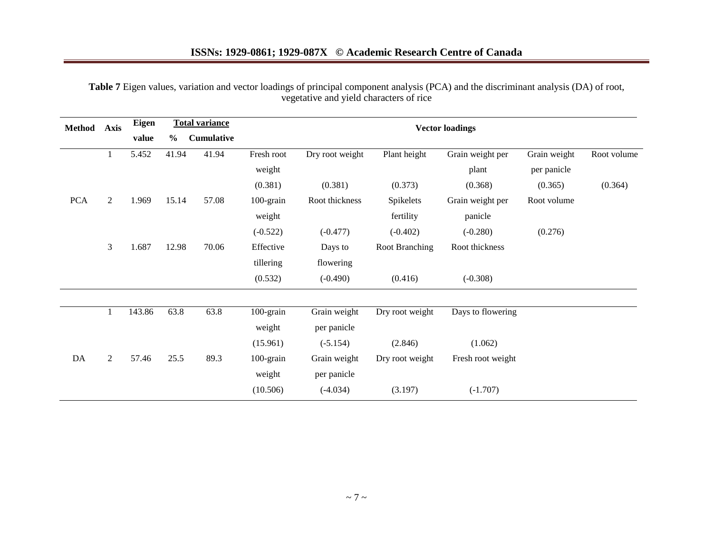## **ISSNs: 1929-0861; 1929-087X © Academic Research Centre of Canada**

| Method     | <b>Axis</b>    | <b>Eigen</b> |               | <b>Total variance</b> | <b>Vector loadings</b> |                 |                 |                   |              |             |  |  |
|------------|----------------|--------------|---------------|-----------------------|------------------------|-----------------|-----------------|-------------------|--------------|-------------|--|--|
|            |                | value        | $\frac{0}{0}$ | <b>Cumulative</b>     |                        |                 |                 |                   |              |             |  |  |
|            |                | 5.452        | 41.94         | 41.94                 | Fresh root             | Dry root weight | Plant height    | Grain weight per  | Grain weight | Root volume |  |  |
|            |                |              |               |                       | weight                 |                 |                 | plant             | per panicle  |             |  |  |
|            |                |              |               |                       | (0.381)                | (0.381)         | (0.373)         | (0.368)           | (0.365)      | (0.364)     |  |  |
| <b>PCA</b> | $\overline{2}$ | 1.969        | 15.14         | 57.08                 | 100-grain              | Root thickness  | Spikelets       | Grain weight per  | Root volume  |             |  |  |
|            |                |              |               |                       | weight                 |                 | fertility       | panicle           |              |             |  |  |
|            |                |              |               |                       | $(-0.522)$             | $(-0.477)$      | $(-0.402)$      | $(-0.280)$        | (0.276)      |             |  |  |
|            | 3              | 1.687        | 12.98         | 70.06                 | Effective              | Days to         | Root Branching  | Root thickness    |              |             |  |  |
|            |                |              |               |                       | tillering              | flowering       |                 |                   |              |             |  |  |
|            |                |              |               |                       | (0.532)                | $(-0.490)$      | (0.416)         | $(-0.308)$        |              |             |  |  |
|            |                |              |               |                       |                        |                 |                 |                   |              |             |  |  |
|            |                | 143.86       | 63.8          | 63.8                  | 100-grain              | Grain weight    | Dry root weight | Days to flowering |              |             |  |  |
|            |                |              |               |                       | weight                 | per panicle     |                 |                   |              |             |  |  |
|            |                |              |               |                       | (15.961)               | $(-5.154)$      | (2.846)         | (1.062)           |              |             |  |  |
| DA         | $\overline{2}$ | 57.46        | 25.5          | 89.3                  | $100$ -grain           | Grain weight    | Dry root weight | Fresh root weight |              |             |  |  |
|            |                |              |               |                       | weight                 | per panicle     |                 |                   |              |             |  |  |
|            |                |              |               |                       | (10.506)               | $(-4.034)$      | (3.197)         | $(-1.707)$        |              |             |  |  |

**Table 7** Eigen values, variation and vector loadings of principal component analysis (PCA) and the discriminant analysis (DA) of root, vegetative and yield characters of rice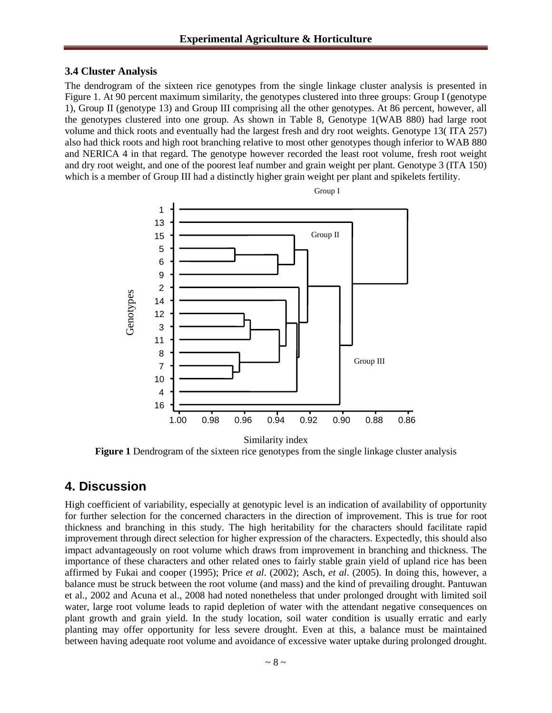#### **3.4 Cluster Analysis**

The dendrogram of the sixteen rice genotypes from the single linkage cluster analysis is presented in Figure 1. At 90 percent maximum similarity, the genotypes clustered into three groups: Group I (genotype 1), Group II (genotype 13) and Group III comprising all the other genotypes. At 86 percent, however, all the genotypes clustered into one group. As shown in Table 8, Genotype 1(WAB 880) had large root volume and thick roots and eventually had the largest fresh and dry root weights. Genotype 13( ITA 257) also had thick roots and high root branching relative to most other genotypes though inferior to WAB 880 and NERICA 4 in that regard. The genotype however recorded the least root volume, fresh root weight and dry root weight, and one of the poorest leaf number and grain weight per plant. Genotype 3 (ITA 150) which is a member of Group III had a distinctly higher grain weight per plant and spikelets fertility.



Group I

**Figure** 1 Dendrogram of the sixteen rice genotypes from the single linkage cluster analysis

## **4. Discussion**

High coefficient of variability, especially at genotypic level is an indication of availability of opportunity for further selection for the concerned characters in the direction of improvement. This is true for root thickness and branching in this study. The high heritability for the characters should facilitate rapid improvement through direct selection for higher expression of the characters. Expectedly, this should also impact advantageously on root volume which draws from improvement in branching and thickness. The importance of these characters and other related ones to fairly stable grain yield of upland rice has been affirmed by Fukai and cooper (1995); Price *et al*. (2002); Asch, *et al*. (2005). In doing this, however, a balance must be struck between the root volume (and mass) and the kind of prevailing drought. Pantuwan et al., 2002 and Acuna et al., 2008 had noted nonetheless that under prolonged drought with limited soil water, large root volume leads to rapid depletion of water with the attendant negative consequences on plant growth and grain yield. In the study location, soil water condition is usually erratic and early planting may offer opportunity for less severe drought. Even at this, a balance must be maintained between having adequate root volume and avoidance of excessive water uptake during prolonged drought.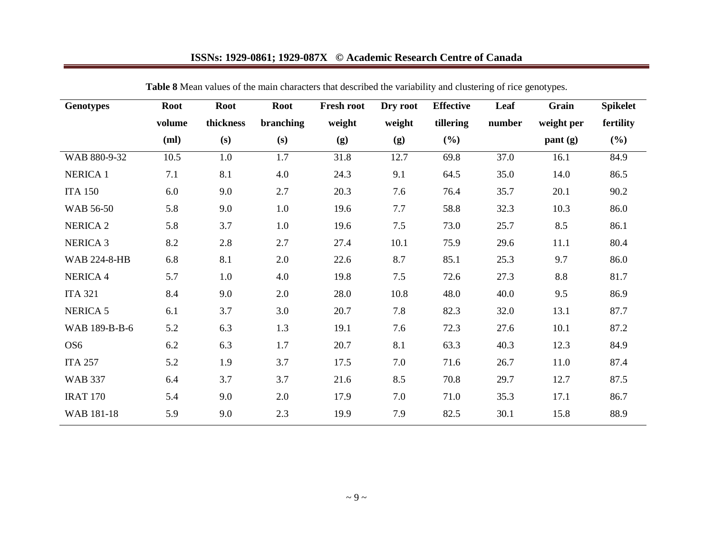# **ISSNs: 1929-0861; 1929-087X © Academic Research Centre of Canada**

| <b>Genotypes</b>    | <b>Root</b> | <b>Root</b> | <b>Root</b> | Fresh root | Dry root | <b>Effective</b> | Leaf   | Grain      | <b>Spikelet</b> |
|---------------------|-------------|-------------|-------------|------------|----------|------------------|--------|------------|-----------------|
|                     | volume      | thickness   | branching   | weight     | weight   | tillering        | number | weight per | fertility       |
|                     | (ml)        | (s)         | (s)         | (g)        | (g)      | (%)              |        | pant (g)   | $(\%)$          |
| WAB 880-9-32        | 10.5        | 1.0         | 1.7         | 31.8       | 12.7     | 69.8             | 37.0   | 16.1       | 84.9            |
| <b>NERICA 1</b>     | 7.1         | 8.1         | 4.0         | 24.3       | 9.1      | 64.5             | 35.0   | 14.0       | 86.5            |
| <b>ITA 150</b>      | 6.0         | 9.0         | 2.7         | 20.3       | 7.6      | 76.4             | 35.7   | 20.1       | 90.2            |
| WAB 56-50           | 5.8         | 9.0         | 1.0         | 19.6       | 7.7      | 58.8             | 32.3   | 10.3       | 86.0            |
| NERICA <sub>2</sub> | 5.8         | 3.7         | 1.0         | 19.6       | 7.5      | 73.0             | 25.7   | 8.5        | 86.1            |
| <b>NERICA 3</b>     | 8.2         | 2.8         | 2.7         | 27.4       | 10.1     | 75.9             | 29.6   | 11.1       | 80.4            |
| <b>WAB 224-8-HB</b> | 6.8         | 8.1         | 2.0         | 22.6       | 8.7      | 85.1             | 25.3   | 9.7        | 86.0            |
| <b>NERICA 4</b>     | 5.7         | 1.0         | 4.0         | 19.8       | 7.5      | 72.6             | 27.3   | 8.8        | 81.7            |
| <b>ITA 321</b>      | 8.4         | 9.0         | 2.0         | 28.0       | 10.8     | 48.0             | 40.0   | 9.5        | 86.9            |
| NERICA <sub>5</sub> | 6.1         | 3.7         | 3.0         | 20.7       | 7.8      | 82.3             | 32.0   | 13.1       | 87.7            |
| WAB 189-B-B-6       | 5.2         | 6.3         | 1.3         | 19.1       | 7.6      | 72.3             | 27.6   | 10.1       | 87.2            |
| OS <sub>6</sub>     | 6.2         | 6.3         | 1.7         | 20.7       | 8.1      | 63.3             | 40.3   | 12.3       | 84.9            |
| <b>ITA 257</b>      | 5.2         | 1.9         | 3.7         | 17.5       | 7.0      | 71.6             | 26.7   | 11.0       | 87.4            |
| <b>WAB 337</b>      | 6.4         | 3.7         | 3.7         | 21.6       | 8.5      | 70.8             | 29.7   | 12.7       | 87.5            |
| <b>IRAT 170</b>     | 5.4         | 9.0         | 2.0         | 17.9       | 7.0      | 71.0             | 35.3   | 17.1       | 86.7            |
| WAB 181-18          | 5.9         | 9.0         | 2.3         | 19.9       | 7.9      | 82.5             | 30.1   | 15.8       | 88.9            |

**Table 8** Mean values of the main characters that described the variability and clustering of rice genotypes.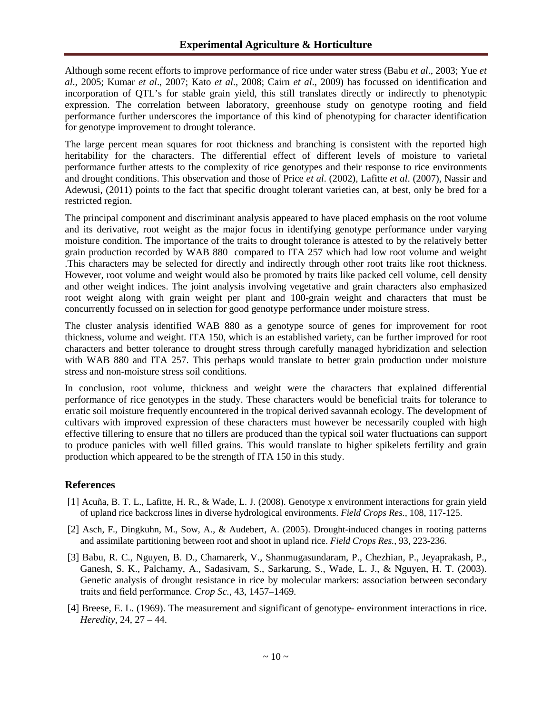Although some recent efforts to improve performance of rice under water stress (Babu *et al*., 2003; Yue *et al*., 2005; Kumar *et al*., 2007; Kato *et al*., 2008; Cairn *et al*., 2009) has focussed on identification and incorporation of QTL's for stable grain yield, this still translates directly or indirectly to phenotypic expression. The correlation between laboratory, greenhouse study on genotype rooting and field performance further underscores the importance of this kind of phenotyping for character identification for genotype improvement to drought tolerance.

The large percent mean squares for root thickness and branching is consistent with the reported high heritability for the characters. The differential effect of different levels of moisture to varietal performance further attests to the complexity of rice genotypes and their response to rice environments and drought conditions. This observation and those of Price *et al*. (2002), Lafitte *et al*. (2007), Nassir and Adewusi, (2011) points to the fact that specific drought tolerant varieties can, at best, only be bred for a restricted region.

The principal component and discriminant analysis appeared to have placed emphasis on the root volume and its derivative, root weight as the major focus in identifying genotype performance under varying moisture condition. The importance of the traits to drought tolerance is attested to by the relatively better grain production recorded by WAB 880 compared to ITA 257 which had low root volume and weight .This characters may be selected for directly and indirectly through other root traits like root thickness. However, root volume and weight would also be promoted by traits like packed cell volume, cell density and other weight indices. The joint analysis involving vegetative and grain characters also emphasized root weight along with grain weight per plant and 100-grain weight and characters that must be concurrently focussed on in selection for good genotype performance under moisture stress.

The cluster analysis identified WAB 880 as a genotype source of genes for improvement for root thickness, volume and weight. ITA 150, which is an established variety, can be further improved for root characters and better tolerance to drought stress through carefully managed hybridization and selection with WAB 880 and ITA 257. This perhaps would translate to better grain production under moisture stress and non-moisture stress soil conditions.

In conclusion, root volume, thickness and weight were the characters that explained differential performance of rice genotypes in the study. These characters would be beneficial traits for tolerance to erratic soil moisture frequently encountered in the tropical derived savannah ecology. The development of cultivars with improved expression of these characters must however be necessarily coupled with high effective tillering to ensure that no tillers are produced than the typical soil water fluctuations can support to produce panicles with well filled grains. This would translate to higher spikelets fertility and grain production which appeared to be the strength of ITA 150 in this study.

#### **References**

- [1] Acuña, B. T. L., Lafitte, H. R., & Wade, L. J. (2008). Genotype x environment interactions for grain yield of upland rice backcross lines in diverse hydrological environments. *Field Crops Res.*, 108, 117-125.
- [2] Asch, F., Dingkuhn, M., Sow, A., & Audebert, A. (2005). Drought-induced changes in rooting patterns and assimilate partitioning between root and shoot in upland rice. *Field Crops Res.*, 93, 223-236.
- [3] Babu, R. C., Nguyen, B. D., Chamarerk, V., Shanmugasundaram, P., Chezhian, P., Jeyaprakash, P., Ganesh, S. K., Palchamy, A., Sadasivam, S., Sarkarung, S., Wade, L. J., & Nguyen, H. T. (2003). Genetic analysis of drought resistance in rice by molecular markers: association between secondary traits and field performance. *Crop Sc.*, 43, 1457–1469.
- [4] Breese, E. L. (1969). The measurement and significant of genotype- environment interactions in rice. *Heredity*, 24, 27 – 44.